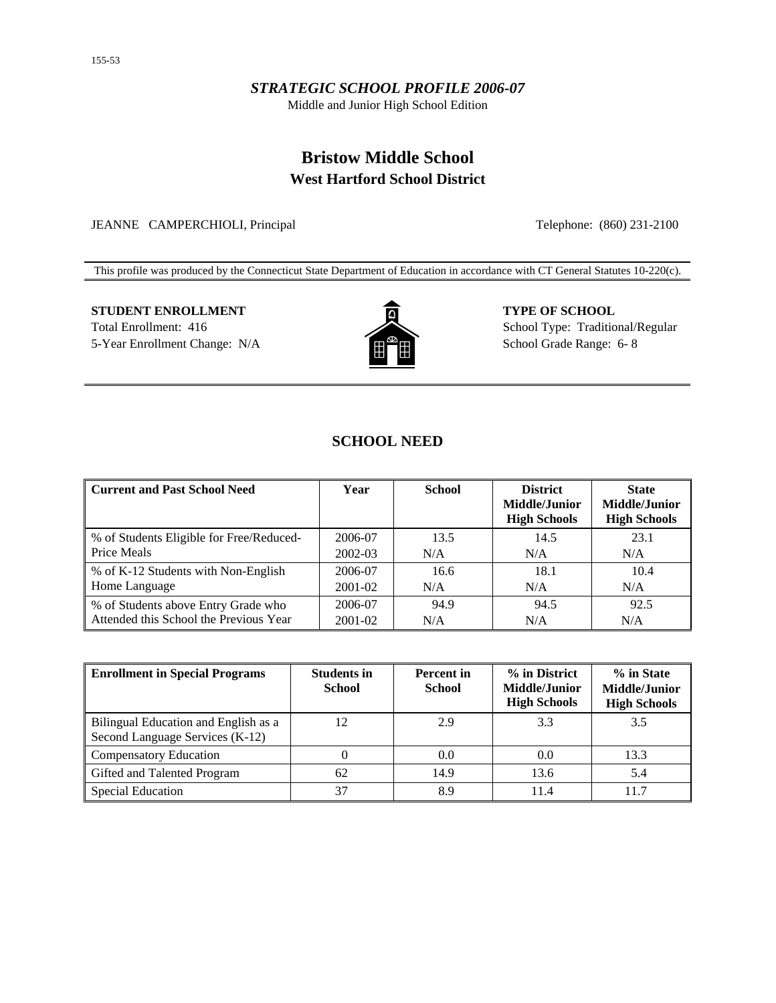## *STRATEGIC SCHOOL PROFILE 2006-07*

Middle and Junior High School Edition

## **Bristow Middle School West Hartford School District**

JEANNE CAMPERCHIOLI, Principal Telephone: (860) 231-2100

This profile was produced by the Connecticut State Department of Education in accordance with CT General Statutes 10-220(c).

# **STUDENT ENROLLMENT TYPE OF SCHOOL**



Total Enrollment: 416 School Type: Traditional/Regular 5-Year Enrollment Change: N/A  $\left[\begin{array}{c} \bullet \\ \bullet \end{array}\right]$  School Grade Range: 6- 8

## **SCHOOL NEED**

| <b>Current and Past School Need</b>      | Year    | <b>School</b> | <b>District</b><br><b>Middle/Junior</b><br><b>High Schools</b> | <b>State</b><br><b>Middle/Junior</b><br><b>High Schools</b> |
|------------------------------------------|---------|---------------|----------------------------------------------------------------|-------------------------------------------------------------|
| % of Students Eligible for Free/Reduced- | 2006-07 | 13.5          | 14.5                                                           | 23.1                                                        |
| Price Meals                              | 2002-03 | N/A           | N/A                                                            | N/A                                                         |
| % of K-12 Students with Non-English      | 2006-07 | 16.6          | 18.1                                                           | 10.4                                                        |
| Home Language                            | 2001-02 | N/A           | N/A                                                            | N/A                                                         |
| % of Students above Entry Grade who      | 2006-07 | 94.9          | 94.5                                                           | 92.5                                                        |
| Attended this School the Previous Year   | 2001-02 | N/A           | N/A                                                            | N/A                                                         |

| <b>Enrollment in Special Programs</b>                                   | <b>Students in</b><br><b>School</b> | <b>Percent</b> in<br><b>School</b> | % in District<br>Middle/Junior<br><b>High Schools</b> | % in State<br>Middle/Junior<br><b>High Schools</b> |
|-------------------------------------------------------------------------|-------------------------------------|------------------------------------|-------------------------------------------------------|----------------------------------------------------|
| Bilingual Education and English as a<br>Second Language Services (K-12) | 12                                  | 2.9                                | 3.3                                                   | 3.5                                                |
| <b>Compensatory Education</b>                                           |                                     | 0.0                                | 0.0                                                   | 13.3                                               |
| Gifted and Talented Program                                             | 62                                  | 14.9                               | 13.6                                                  | 5.4                                                |
| <b>Special Education</b>                                                | 37                                  | 8.9                                | 11.4                                                  | 11.7                                               |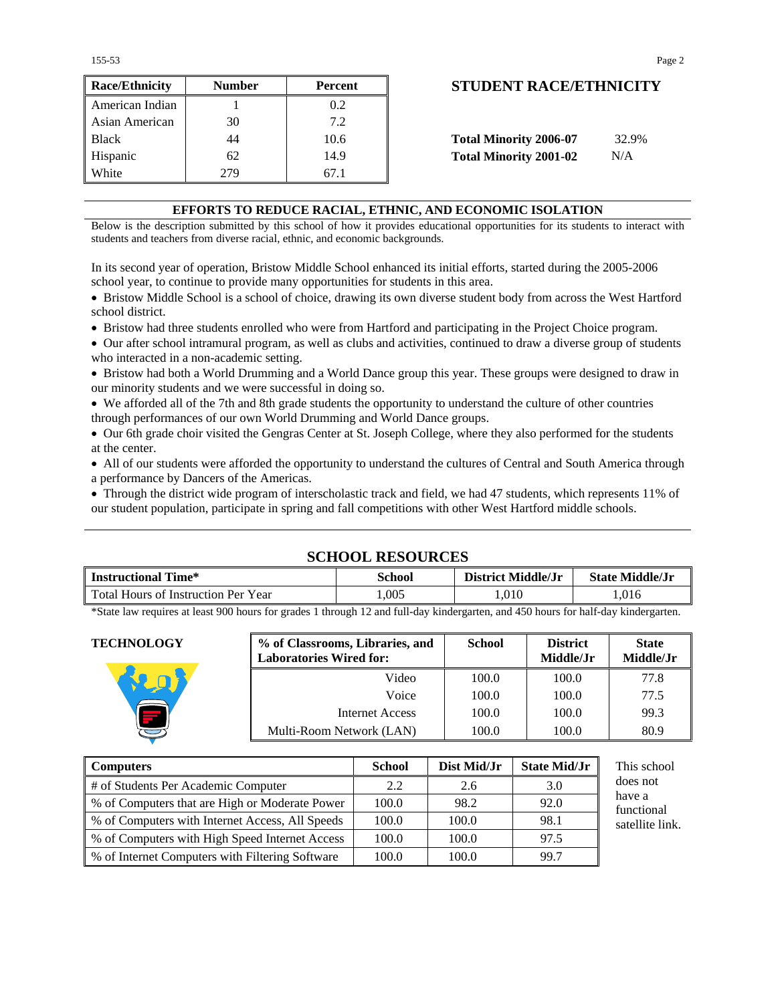155-53 Page 2

 $\blacksquare$ 

| <b>Race/Ethnicity</b> | <b>Number</b> | Percent | <b>STUDENT RACE/ETHNICIT</b>           |
|-----------------------|---------------|---------|----------------------------------------|
| American Indian       |               | 0.2     |                                        |
| Asian American        | 30            | 7.2     |                                        |
| <b>Black</b>          | 44            | 10.6    | <b>Total Minority 2006-07</b><br>32.9% |
| Hispanic              | 62            | 14.9    | <b>Total Minority 2001-02</b><br>N/A   |
| White                 | 279           | 67.1    |                                        |

## **Race/Ethnicity Number Percent STUDENT RACE/ETHNICITY**

| Total Minority 2006-07 | 32.9% |
|------------------------|-------|
| Total Minority 2001-02 | N/A   |

#### **EFFORTS TO REDUCE RACIAL, ETHNIC, AND ECONOMIC ISOLATION**

Below is the description submitted by this school of how it provides educational opportunities for its students to interact with students and teachers from diverse racial, ethnic, and economic backgrounds.

In its second year of operation, Bristow Middle School enhanced its initial efforts, started during the 2005-2006 school year, to continue to provide many opportunities for students in this area.

• Bristow Middle School is a school of choice, drawing its own diverse student body from across the West Hartford school district.

• Bristow had three students enrolled who were from Hartford and participating in the Project Choice program.

• Our after school intramural program, as well as clubs and activities, continued to draw a diverse group of students who interacted in a non-academic setting.

• Bristow had both a World Drumming and a World Dance group this year. These groups were designed to draw in our minority students and we were successful in doing so.

• We afforded all of the 7th and 8th grade students the opportunity to understand the culture of other countries through performances of our own World Drumming and World Dance groups.

• Our 6th grade choir visited the Gengras Center at St. Joseph College, where they also performed for the students at the center.

• All of our students were afforded the opportunity to understand the cultures of Central and South America through a performance by Dancers of the Americas.

• Through the district wide program of interscholastic track and field, we had 47 students, which represents 11% of our student population, participate in spring and fall competitions with other West Hartford middle schools.

## **SCHOOL RESOURCES Instructional Time\*** School District Middle/Jr State Middle/Jr State Middle/Jr Total Hours of Instruction Per Year 1,005 1,005 1,010 1,016

\*State law requires at least 900 hours for grades 1 through 12 and full-day kindergarten, and 450 hours for half-day kindergarten.

| <b>TECHNOLOGY</b>                                | % of Classrooms, Libraries, and<br><b>Laboratories Wired for:</b> |                 | <b>School</b> | <b>District</b><br>Middle/Jr | <b>State</b><br>Middle/Jr |
|--------------------------------------------------|-------------------------------------------------------------------|-----------------|---------------|------------------------------|---------------------------|
|                                                  |                                                                   | Video           | 100.0         | 100.0                        | 77.8                      |
|                                                  |                                                                   | Voice           | 100.0         | 100.0                        | 77.5                      |
|                                                  |                                                                   | Internet Access | 100.0         | 100.0                        | 99.3                      |
| ═                                                | Multi-Room Network (LAN)                                          |                 | 100.0         | 100.0                        | 80.9                      |
|                                                  |                                                                   |                 |               |                              |                           |
| <b>Computers</b>                                 |                                                                   | <b>School</b>   | Dist Mid/Jr   | <b>State Mid/Jr</b>          | This school               |
| $\cdots$ as a contract to the contract of $\sim$ |                                                                   | $\sim$ $\sim$   | - -           | $\sim$ $\sim$                | does not                  |

| <b>Computers</b>                                | <b>School</b> | Dist Mid/Jr | <b>State Mid/Jr</b> | Th         |
|-------------------------------------------------|---------------|-------------|---------------------|------------|
| # of Students Per Academic Computer             | 2.2           | 2.6         | 3.0                 | do         |
| % of Computers that are High or Moderate Power  | 100.0         | 98.2        | 92.0                | ha۱<br>fun |
| % of Computers with Internet Access, All Speeds | 100.0         | 100.0       | 98.1                | sat        |
| % of Computers with High Speed Internet Access  | 100.0         | 100.0       | 97.5                |            |
| % of Internet Computers with Filtering Software | 100.0         | 100.0       | 99.7                |            |

es not have a nctional ellite link.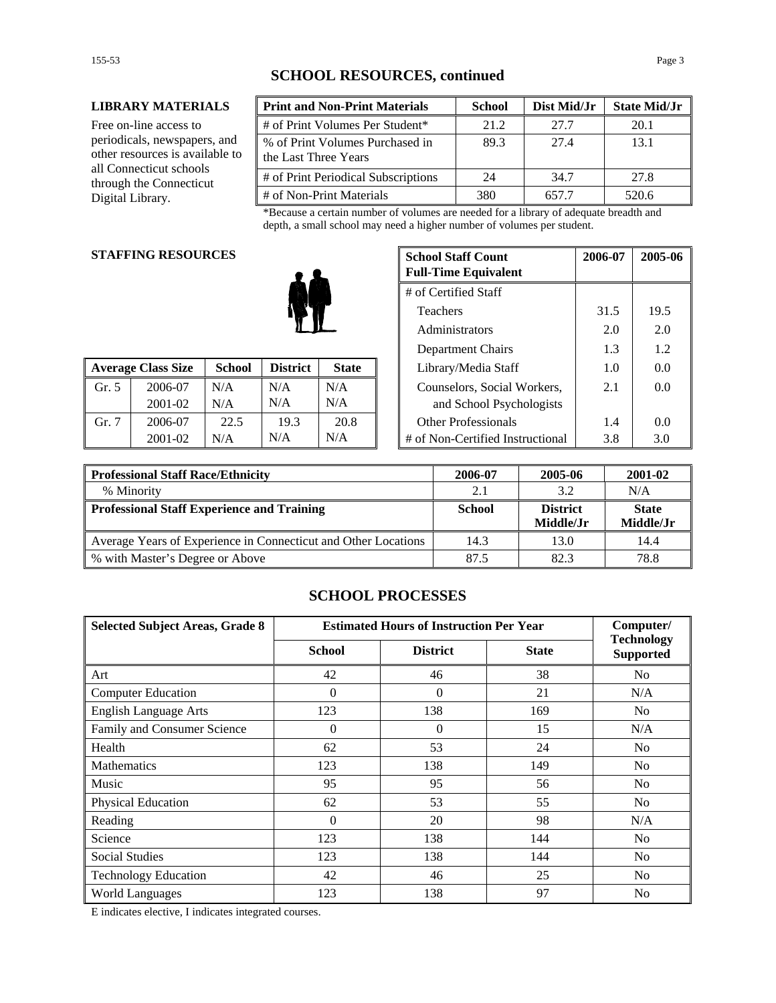#### **LIBRARY MATERIALS**

Free on-line access to periodicals, newspapers, and other resources is available to all Connecticut schools through the Connecticut Digital Library.

| <b>Print and Non-Print Materials</b>                    | <b>School</b> | Dist Mid/Jr | <b>State Mid/Jr</b> |
|---------------------------------------------------------|---------------|-------------|---------------------|
| # of Print Volumes Per Student*                         | 21.2          | 27.7        | 20.1                |
| % of Print Volumes Purchased in<br>the Last Three Years | 89.3          | 27.4        | 13.1                |
| # of Print Periodical Subscriptions                     | 24            | 34.7        | 27.8                |
| # of Non-Print Materials                                | 380           | 657.7       | 520.6               |

\*Because a certain number of volumes are needed for a library of adequate breadth and depth, a small school may need a higher number of volumes per student.

#### **STAFFING RESOURCES**

|       |                           |               |                 |              |                                  |     | --- |
|-------|---------------------------|---------------|-----------------|--------------|----------------------------------|-----|-----|
|       | <b>Average Class Size</b> | <b>School</b> | <b>District</b> | <b>State</b> | Library/Media Staff              | 1.0 | 0.0 |
| Gr. 5 | 2006-07                   | N/A           | N/A             | N/A          | Counselors, Social Workers,      | 2.1 | 0.0 |
|       | 2001-02                   | N/A           | N/A             | N/A          | and School Psychologists         |     |     |
| Gr. 7 | 2006-07                   | 22.5          | 19.3            | 20.8         | <b>Other Professionals</b>       | 1.4 | 0.0 |
|       | 2001-02                   | N/A           | N/A             | N/A          | # of Non-Certified Instructional | 3.8 | 3.0 |

| <b>G RESOURCES</b> |               |                 |                   |      | <b>School Staff Count</b><br><b>Full-Time Equivalent</b> | 2006-07 | 2005-06 |
|--------------------|---------------|-----------------|-------------------|------|----------------------------------------------------------|---------|---------|
|                    |               |                 |                   |      | # of Certified Staff                                     |         |         |
| Teachers           |               |                 |                   | 31.5 | 19.5                                                     |         |         |
| Administrators     |               |                 |                   | 2.0  | 2.0                                                      |         |         |
|                    |               |                 | Department Chairs | 1.3  | 1.2                                                      |         |         |
| lass Size          | <b>School</b> | <b>District</b> | <b>State</b>      |      | Library/Media Staff                                      | 1.0     | 0.0     |
| 2006-07            | N/A           | N/A             | N/A               |      | Counselors, Social Workers,                              | 2.1     | 0.0     |
| 2001-02            | N/A           | N/A             | N/A               |      | and School Psychologists                                 |         |         |
| 2006-07            | 22.5          | 19.3            | 20.8              |      | <b>Other Professionals</b>                               | 1.4     | 0.0     |
| 2001-02            | N/A           | N/A             | N/A               |      | # of Non-Certified Instructional                         | 3.8     | 3.0     |

| <b>Professional Staff Race/Ethnicity</b>                       | 2006-07       | 2005-06         | 2001-02      |
|----------------------------------------------------------------|---------------|-----------------|--------------|
| % Minority                                                     | 2.1           | 3.2             | N/A          |
| Professional Staff Experience and Training                     | <b>School</b> | <b>District</b> | <b>State</b> |
|                                                                |               | Middle/Jr       | Middle/Jr    |
| Average Years of Experience in Connecticut and Other Locations | 14.3          | 13.0            | 14.4         |
| % with Master's Degree or Above                                | 87.5          | 82.3            | 78.8         |

## **SCHOOL PROCESSES**

| <b>Selected Subject Areas, Grade 8</b> | <b>Estimated Hours of Instruction Per Year</b> | Computer/       |              |                                       |
|----------------------------------------|------------------------------------------------|-----------------|--------------|---------------------------------------|
|                                        | <b>School</b>                                  | <b>District</b> | <b>State</b> | <b>Technology</b><br><b>Supported</b> |
| Art                                    | 42                                             | 46              | 38           | No                                    |
| <b>Computer Education</b>              | $\mathbf{0}$                                   | $\Omega$        | 21           | N/A                                   |
| <b>English Language Arts</b>           | 123                                            | 138             | 169          | N <sub>0</sub>                        |
| Family and Consumer Science            | $\boldsymbol{0}$                               | $\Omega$        | 15           | N/A                                   |
| Health                                 | 62                                             | 53              | 24           | No                                    |
| <b>Mathematics</b>                     | 123                                            | 138             | 149          | N <sub>0</sub>                        |
| Music                                  | 95                                             | 95              | 56           | N <sub>0</sub>                        |
| Physical Education                     | 62                                             | 53              | 55           | No                                    |
| Reading                                | $\Omega$                                       | 20              | 98           | N/A                                   |
| Science                                | 123                                            | 138             | 144          | N <sub>0</sub>                        |
| <b>Social Studies</b>                  | 123                                            | 138             | 144          | N <sub>0</sub>                        |
| <b>Technology Education</b>            | 42                                             | 46              | 25           | N <sub>0</sub>                        |
| <b>World Languages</b>                 | 123                                            | 138             | 97           | N <sub>0</sub>                        |

E indicates elective, I indicates integrated courses.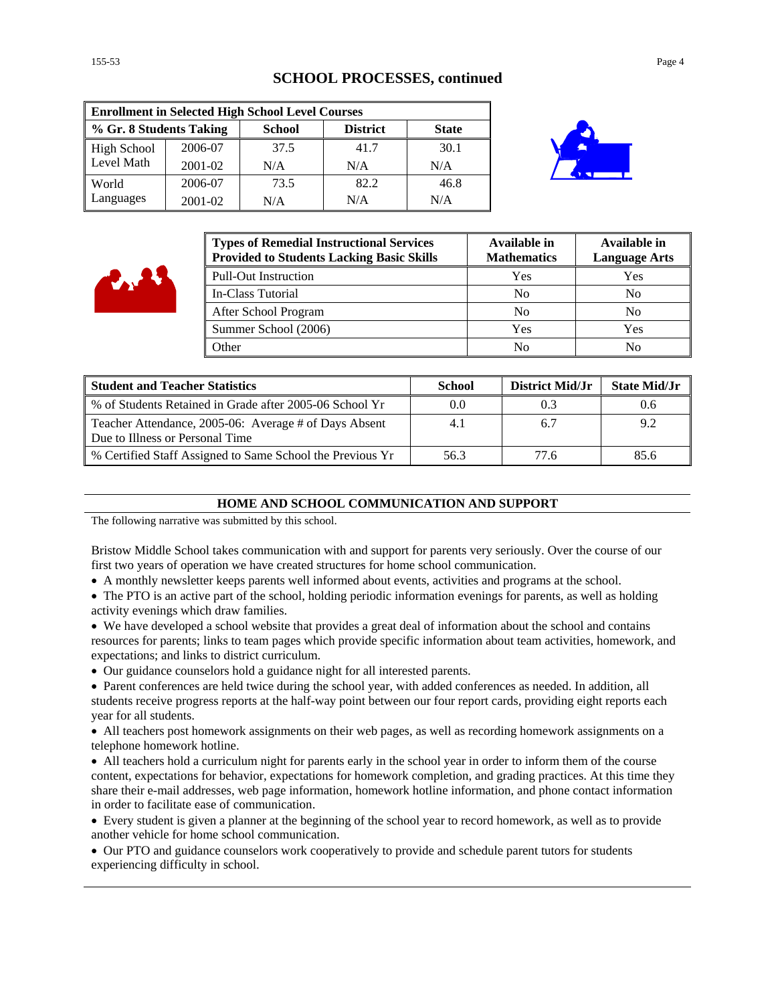#### **SCHOOL PROCESSES, continued**

| <b>Enrollment in Selected High School Level Courses</b> |         |               |                 |              |
|---------------------------------------------------------|---------|---------------|-----------------|--------------|
| % Gr. 8 Students Taking                                 |         | <b>School</b> | <b>District</b> | <b>State</b> |
| <b>High School</b>                                      | 2006-07 | 37.5          | 41.7            | 30.1         |
| Level Math                                              | 2001-02 | N/A           | N/A             | N/A          |
| World                                                   | 2006-07 | 73.5          | 82.2            | 46.8         |
| Languages                                               | 2001-02 | N/A           | N/A             | N/A          |



| <b>Types of Remedial Instructional Services</b><br><b>Provided to Students Lacking Basic Skills</b> | Available in<br><b>Mathematics</b> | Available in<br><b>Language Arts</b> |
|-----------------------------------------------------------------------------------------------------|------------------------------------|--------------------------------------|
| <b>Pull-Out Instruction</b>                                                                         | Yes                                | Yes                                  |
| In-Class Tutorial                                                                                   | N <sub>0</sub>                     | N <sub>0</sub>                       |
| After School Program                                                                                | N <sub>0</sub>                     | N <sub>0</sub>                       |
| Summer School (2006)                                                                                | Yes                                | Yes                                  |
| Other                                                                                               | No                                 | No                                   |

| <b>Student and Teacher Statistics</b>                                                    | <b>School</b> | District Mid/Jr | <b>State Mid/Jr</b> |
|------------------------------------------------------------------------------------------|---------------|-----------------|---------------------|
| % of Students Retained in Grade after 2005-06 School Yr                                  | 0.0           |                 | 0.6                 |
| Teacher Attendance, 2005-06: Average # of Days Absent<br>Due to Illness or Personal Time | 4.1           | 6.7             | 9.2                 |
| % Certified Staff Assigned to Same School the Previous Yr                                | 56.3          | 77.6            | 85.6                |

#### **HOME AND SCHOOL COMMUNICATION AND SUPPORT**

The following narrative was submitted by this school.

Bristow Middle School takes communication with and support for parents very seriously. Over the course of our first two years of operation we have created structures for home school communication.

- A monthly newsletter keeps parents well informed about events, activities and programs at the school.
- The PTO is an active part of the school, holding periodic information evenings for parents, as well as holding activity evenings which draw families.
- We have developed a school website that provides a great deal of information about the school and contains resources for parents; links to team pages which provide specific information about team activities, homework, and expectations; and links to district curriculum.
- Our guidance counselors hold a guidance night for all interested parents.
- Parent conferences are held twice during the school year, with added conferences as needed. In addition, all students receive progress reports at the half-way point between our four report cards, providing eight reports each year for all students.

• All teachers post homework assignments on their web pages, as well as recording homework assignments on a telephone homework hotline.

• All teachers hold a curriculum night for parents early in the school year in order to inform them of the course content, expectations for behavior, expectations for homework completion, and grading practices. At this time they share their e-mail addresses, web page information, homework hotline information, and phone contact information in order to facilitate ease of communication.

• Every student is given a planner at the beginning of the school year to record homework, as well as to provide another vehicle for home school communication.

• Our PTO and guidance counselors work cooperatively to provide and schedule parent tutors for students experiencing difficulty in school.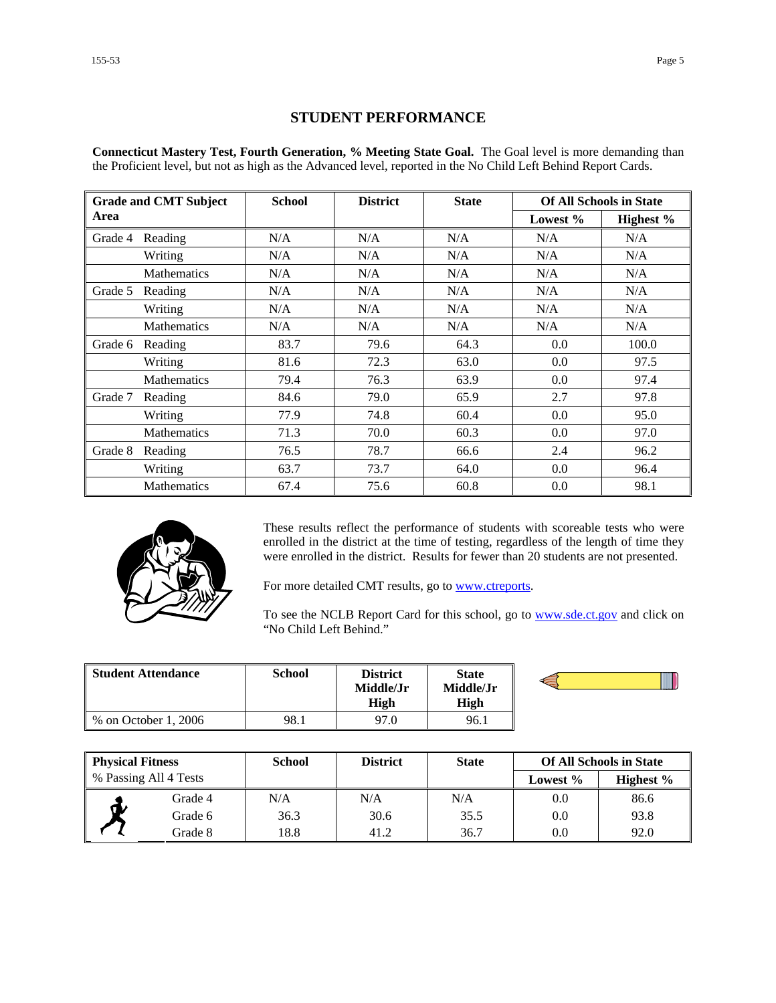### **STUDENT PERFORMANCE**

**Connecticut Mastery Test, Fourth Generation, % Meeting State Goal.** The Goal level is more demanding than the Proficient level, but not as high as the Advanced level, reported in the No Child Left Behind Report Cards.

| <b>Grade and CMT Subject</b> |                    | <b>School</b><br><b>District</b> |      | <b>State</b> | <b>Of All Schools in State</b> |           |
|------------------------------|--------------------|----------------------------------|------|--------------|--------------------------------|-----------|
| Area                         |                    |                                  |      |              | Lowest %                       | Highest % |
| Grade 4                      | Reading            | N/A                              | N/A  | N/A          | N/A                            | N/A       |
|                              | Writing            | N/A                              | N/A  | N/A          | N/A                            | N/A       |
|                              | <b>Mathematics</b> | N/A                              | N/A  | N/A          | N/A                            | N/A       |
| Grade 5                      | Reading            | N/A                              | N/A  | N/A          | N/A                            | N/A       |
|                              | Writing            | N/A                              | N/A  | N/A          | N/A                            | N/A       |
|                              | <b>Mathematics</b> | N/A                              | N/A  | N/A          | N/A                            | N/A       |
| Grade 6                      | Reading            | 83.7                             | 79.6 | 64.3         | 0.0                            | 100.0     |
|                              | Writing            | 81.6                             | 72.3 | 63.0         | 0.0                            | 97.5      |
|                              | <b>Mathematics</b> | 79.4                             | 76.3 | 63.9         | 0.0                            | 97.4      |
| Grade 7                      | Reading            | 84.6                             | 79.0 | 65.9         | 2.7                            | 97.8      |
|                              | Writing            | 77.9                             | 74.8 | 60.4         | 0.0                            | 95.0      |
|                              | <b>Mathematics</b> | 71.3                             | 70.0 | 60.3         | 0.0                            | 97.0      |
| Grade 8                      | Reading            | 76.5                             | 78.7 | 66.6         | 2.4                            | 96.2      |
|                              | Writing            | 63.7                             | 73.7 | 64.0         | 0.0                            | 96.4      |
|                              | <b>Mathematics</b> | 67.4                             | 75.6 | 60.8         | 0.0                            | 98.1      |



These results reflect the performance of students with scoreable tests who were enrolled in the district at the time of testing, regardless of the length of time they were enrolled in the district. Results for fewer than 20 students are not presented.

For more detailed CMT results, go to **www.ctreports**.

To see the NCLB Report Card for this school, go to **[www.sde.ct.gov](http://www.sde.ct.gov/)** and click on "No Child Left Behind."

| Student Attendance   | School | District<br>Middle/Jr<br>High | <b>State</b><br>Middle/Jr<br>High |  |
|----------------------|--------|-------------------------------|-----------------------------------|--|
| % on October 1, 2006 | 98.1   | 97.0                          | 96.1                              |  |

| <b>Physical Fitness</b> |         | <b>School</b> | <b>District</b> | <b>State</b> | <b>Of All Schools in State</b> |              |
|-------------------------|---------|---------------|-----------------|--------------|--------------------------------|--------------|
| % Passing All 4 Tests   |         |               |                 |              | Lowest $\%$                    | Highest $\%$ |
|                         | Grade 4 | N/A           | N/A             | N/A          | 0.0                            | 86.6         |
| ๛                       | Grade 6 | 36.3          | 30.6            | 35.5         | 0.0                            | 93.8         |
|                         | Grade 8 | 18.8          | 41.2            | 36.7         | 0.0                            | 92.0         |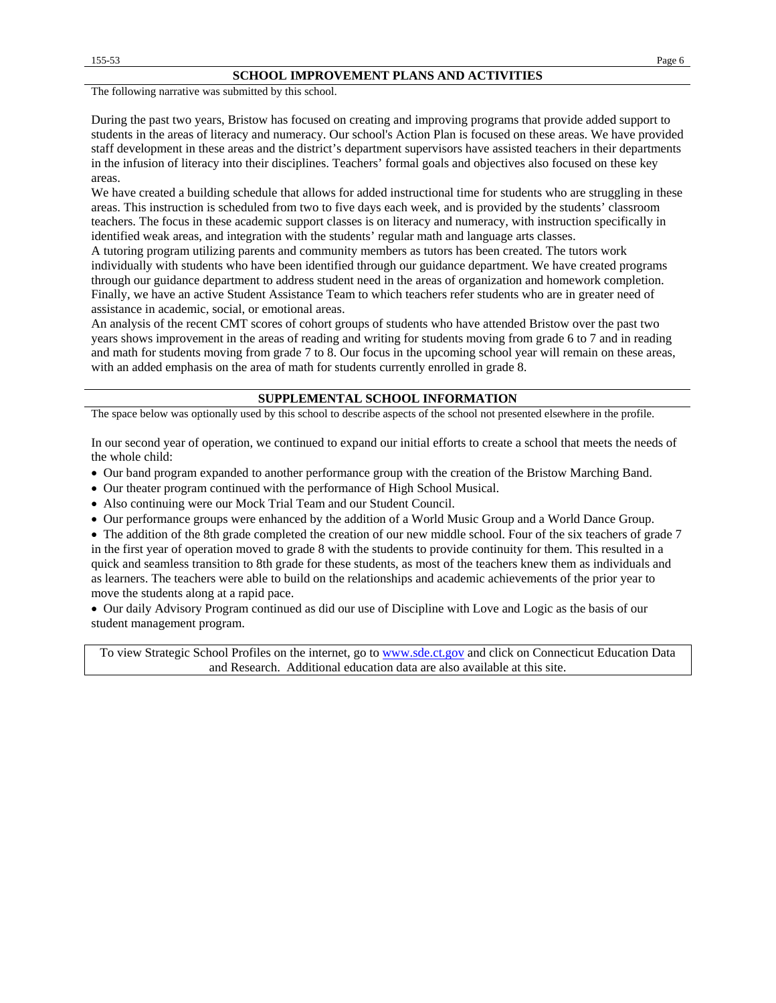The following narrative was submitted by this school.

During the past two years, Bristow has focused on creating and improving programs that provide added support to students in the areas of literacy and numeracy. Our school's Action Plan is focused on these areas. We have provided staff development in these areas and the district's department supervisors have assisted teachers in their departments in the infusion of literacy into their disciplines. Teachers' formal goals and objectives also focused on these key areas.

We have created a building schedule that allows for added instructional time for students who are struggling in these areas. This instruction is scheduled from two to five days each week, and is provided by the students' classroom teachers. The focus in these academic support classes is on literacy and numeracy, with instruction specifically in identified weak areas, and integration with the students' regular math and language arts classes.

A tutoring program utilizing parents and community members as tutors has been created. The tutors work individually with students who have been identified through our guidance department. We have created programs through our guidance department to address student need in the areas of organization and homework completion. Finally, we have an active Student Assistance Team to which teachers refer students who are in greater need of assistance in academic, social, or emotional areas.

An analysis of the recent CMT scores of cohort groups of students who have attended Bristow over the past two years shows improvement in the areas of reading and writing for students moving from grade 6 to 7 and in reading and math for students moving from grade 7 to 8. Our focus in the upcoming school year will remain on these areas, with an added emphasis on the area of math for students currently enrolled in grade 8.

#### **SUPPLEMENTAL SCHOOL INFORMATION**

The space below was optionally used by this school to describe aspects of the school not presented elsewhere in the profile.

In our second year of operation, we continued to expand our initial efforts to create a school that meets the needs of the whole child:

- Our band program expanded to another performance group with the creation of the Bristow Marching Band.
- Our theater program continued with the performance of High School Musical.
- Also continuing were our Mock Trial Team and our Student Council.
- Our performance groups were enhanced by the addition of a World Music Group and a World Dance Group.

• The addition of the 8th grade completed the creation of our new middle school. Four of the six teachers of grade 7 in the first year of operation moved to grade 8 with the students to provide continuity for them. This resulted in a quick and seamless transition to 8th grade for these students, as most of the teachers knew them as individuals and as learners. The teachers were able to build on the relationships and academic achievements of the prior year to move the students along at a rapid pace.

• Our daily Advisory Program continued as did our use of Discipline with Love and Logic as the basis of our student management program.

To view Strategic School Profiles on the internet, go to [www.sde.ct.gov](http://www.sde.ct.gov/) and click on Connecticut Education Data and Research. Additional education data are also available at this site.